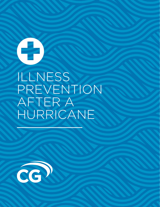# ILLNESS PREVENTION AFTER A HURRICANE

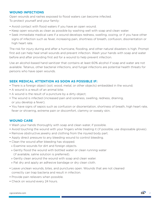# **WOUND INFECTIONS**

Open wounds and rashes exposed to flood waters can become infected. To protect yourself and your family:

- Avoid contact with flood waters if you have an open wound.
- Keep open wounds as clean as possible by washing well with soap and clean water.
- Seek immediate medical care if a wound develops redness, swelling, oozing, or if you have other signs of infection such as fever, increasing pain, shortness of breath, confusion, disorientation or high heart rate.

The risk for injury during and after a hurricane, flooding, and other natural disasters is high. Prompt first aid can help heal small wounds and prevent infection. Wash your hands with soap and water before and after providing first aid for a wound to help prevent infection.

Use an alcohol-based hand sanitizer that contains at least 60% alcohol if soap and water are not available. Tetanus, other bacterial infections, and fungal infections are potential health threats for persons who have open wounds.

# **SEEK MEDICAL ATTENTION AS SOON AS POSSIBLE IF:**

- There is a foreign object (soil, wood, metal, or other objects) embedded in the wound;
- A wound is a result of an animal bite;
- A wound is the result of a puncture by a dirty object;
- The wound is infected (increased pain and soreness, swelling, redness, draining, or you develop a fever);
- You have signs of sepsis such as confusion or disorientation, shortness of breath, high heart rate, fever or shivering, extreme pain or discomfort, clammy or sweaty skin.

## **WOUND CARE**

- Wash your hands thoroughly with soap and clean water, if possible.
- Avoid touching the wound with your fingers while treating it (if possible, use disposable gloves).
- Remove obstructive jewelry and clothing from the injured body part.
- Apply direct pressure to any bleeding wound to control bleeding.
- Clean the wound after bleeding has stopped.
- » Examine wounds for dirt and foreign objects.
- » Gently flood the wound with bottled water or clean running water
	- (if available, saline solution is preferred).
- » Gently clean around the wound with soap and clean water.
- » Pat dry and apply an adhesive bandage or dry clean cloth.
- Leave unclean wounds, bites, and punctures open. Wounds that are not cleaned correctly can trap bacteria and result in infection.
- Provide pain relievers when possible.
- Check on wound every 24 hours.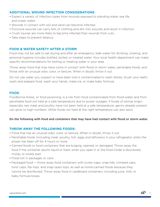# **ADDITIONAL WOUND INFECTION CONSIDERATIONS**

- Expect a variety of infection types from wounds exposed to standing water, sea life, and ocean water.
- Wounds in contact with soil and sand can become infected.
- Puncture wounds can carry bits of clothing and dirt into wounds and result in infection
- Crush injuries are more likely to become infected than wounds from cuts.
- Take steps to prevent tetanus.

# **FOOD & WATER SAFETY AFTER A STORM**

Food may not be safe to eat during and after an emergency. Safe water for drinking, cooking, and personal hygiene includes bottled, boiled, or treated water. Your local health department can make specific recommendations for boiling or treating water in your area.

Throw away food that may have come in contact with flood or storm water, perishable foods, and those with an unusual odor, color, or texture. When in doubt, throw it out.

Do not use water you suspect or have been told is contaminated to wash dishes, brush your teeth, wash and prepare food, wash your hands, make ice, or make baby formula.

## **FOOD**

Foodborne illness, or food poisoning, is a risk from food contaminated from flood water and from perishable food not held at a safe temperature due to power outages. If foods of animal origin, especially raw meat and poultry, have not been held at a safe temperature, germs already present can grow to high numbers. Other foods not held at the right temperature can also spoil.

## Do the following with food and containers that may have had contact with flood or storm water.

## **THROW AWAY THE FOLLOWING FOODS:**

- Food that has an unusual odor, color, or texture. When in doubt, throw it out.
- Perishable foods (including meat, poultry, fish, eggs and leftovers) in your refrigerator when the power has been off for 4 hours or more.
- Canned foods or food containers that are bulging, opened, or damaged. Throw away the food if the container spurts liquid or foam when you open it or the food inside is discolored, moldy, or smells bad.
- Food not in packages or cans.
- Packaged food throw away food containers with screw-caps, snap-lids, crimped caps, twist caps, flip tops, and snap-open tops, as well as home-canned foods because they cannot be disinfected. Throw away food in cardboard containers, including juice, milk, or baby formula boxes.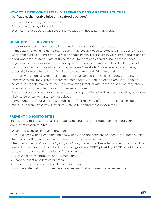## **HOW TO REUSE COMMERCIALLY PREPARED CANS & RETORT POUCHES**

(like flexible, shelf-stable juice and seafood packages)

- Remove labels if they are removable.
- Brush or wipe away dirt or silt.
- Wash cans and pouches with soap and water, using hot water if available.

## **MOSQUITOES & HURRICANES**

- Adult mosquitoes do not generally survive high winds during a hurricane.
- Immediately following a hurricane, flooding may occur. Mosquito eggs laid in the soil by flood water mosquitoes during previous rain or floods hatch. This results in very large populations of flood water mosquitoes. Most of these mosquitoes are considered nuisance mosquitoes.
- In general, nuisance mosquitoes do not spread viruses that make people sick. The types of mosquitoes that can spread viruses may increase 2 weeks to 2 months after a hurricane, especially in areas that did not flood but received more rainfall than usual.
- In areas with Aedes aegypti mosquitoes and local spread of Zika, chikungunya, or dengue, increased rainfall may result in increased hatching of Ae. aegypti eggs from water-holding containers. People may be at more risk of getting infected with these viruses, and they should take steps to protect themselves from mosquito bites.
- Because people spend more time outside cleaning up after a hurricane or flood, they are more likely to be bitten by nuisance mosquitoes.
- Large numbers of nuisance mosquitoes can affect recovery efforts. For this reason, local mosquito control experts will often take steps to control these mosquitoes.

## **PREVENT MOSQUITO BITES**

The best way to prevent diseases spread by mosquitoes is to protect yourself and your family from mosquito bites.

- Wear long-sleeved shirts and long pants.
- Stay in places with air conditioning and window and door screens to keep mosquitoes outside.
- Treat your clothing and gear with permethrin or buy pre-treated items
- Use Environmental Protection Agency (EPA)-registered insect repellents on exposed skin. Use a repellent with one of the following active ingredients: DEET, picaridin, IR3535, oil of lemon, eucalyptus, para-menthane-diol, or 2-undecanone.
- » Always follow the product label instructions.
- » Reapply insect repellent as directed.
- » Do not spray repellent on the skin under clothing.
- » If you are also using sunscreen, apply sunscreen first and insect repellent second.